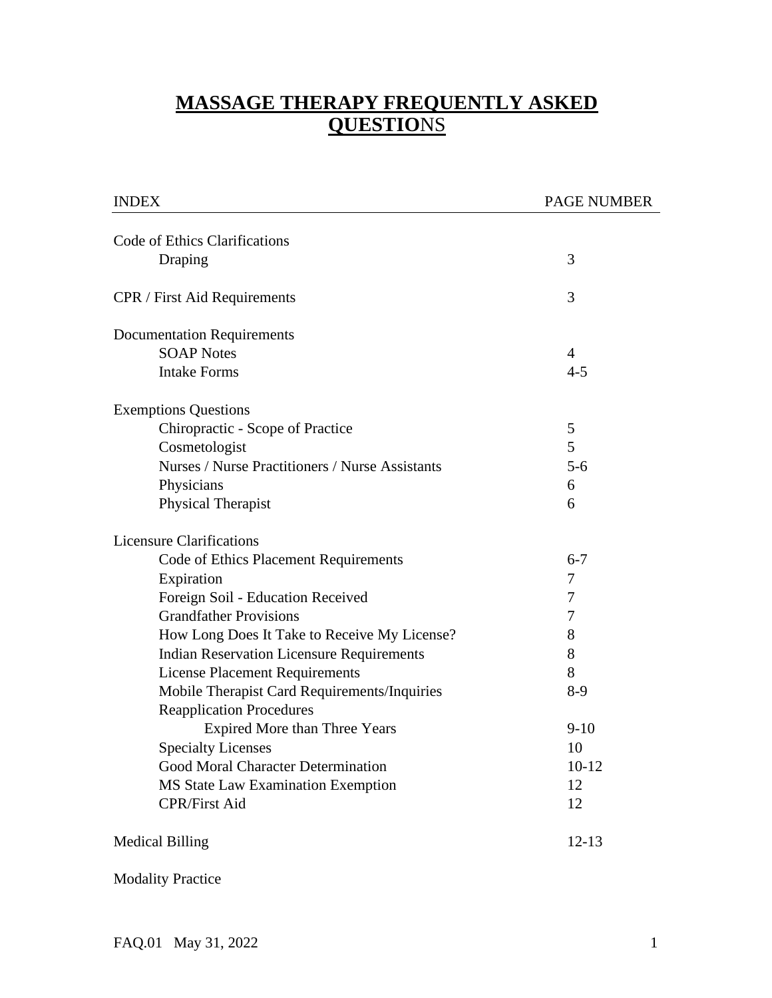# **MASSAGE THERAPY FREQUENTLY ASKED QUESTIO**NS

| <b>INDEX</b>                                     | <b>PAGE NUMBER</b> |  |
|--------------------------------------------------|--------------------|--|
| Code of Ethics Clarifications                    |                    |  |
| Draping                                          | 3                  |  |
| <b>CPR</b> / First Aid Requirements              | 3                  |  |
| <b>Documentation Requirements</b>                |                    |  |
| <b>SOAP Notes</b>                                | $\overline{4}$     |  |
| <b>Intake Forms</b>                              | $4 - 5$            |  |
| <b>Exemptions Questions</b>                      |                    |  |
| Chiropractic - Scope of Practice                 | 5                  |  |
| Cosmetologist                                    | 5                  |  |
| Nurses / Nurse Practitioners / Nurse Assistants  | $5 - 6$            |  |
| Physicians                                       | 6                  |  |
| Physical Therapist                               | 6                  |  |
| <b>Licensure Clarifications</b>                  |                    |  |
| Code of Ethics Placement Requirements            | $6 - 7$            |  |
| Expiration                                       | 7                  |  |
| Foreign Soil - Education Received                | 7                  |  |
| <b>Grandfather Provisions</b>                    | 7                  |  |
| How Long Does It Take to Receive My License?     | 8                  |  |
| <b>Indian Reservation Licensure Requirements</b> | 8                  |  |
| <b>License Placement Requirements</b>            | 8                  |  |
| Mobile Therapist Card Requirements/Inquiries     | $8-9$              |  |
| <b>Reapplication Procedures</b>                  |                    |  |
| <b>Expired More than Three Years</b>             | $9-10$             |  |
| <b>Specialty Licenses</b>                        | 10                 |  |
| Good Moral Character Determination               | $10-12$            |  |
| MS State Law Examination Exemption               | 12                 |  |
| <b>CPR/First Aid</b>                             | 12                 |  |
| <b>Medical Billing</b>                           | $12 - 13$          |  |

Modality Practice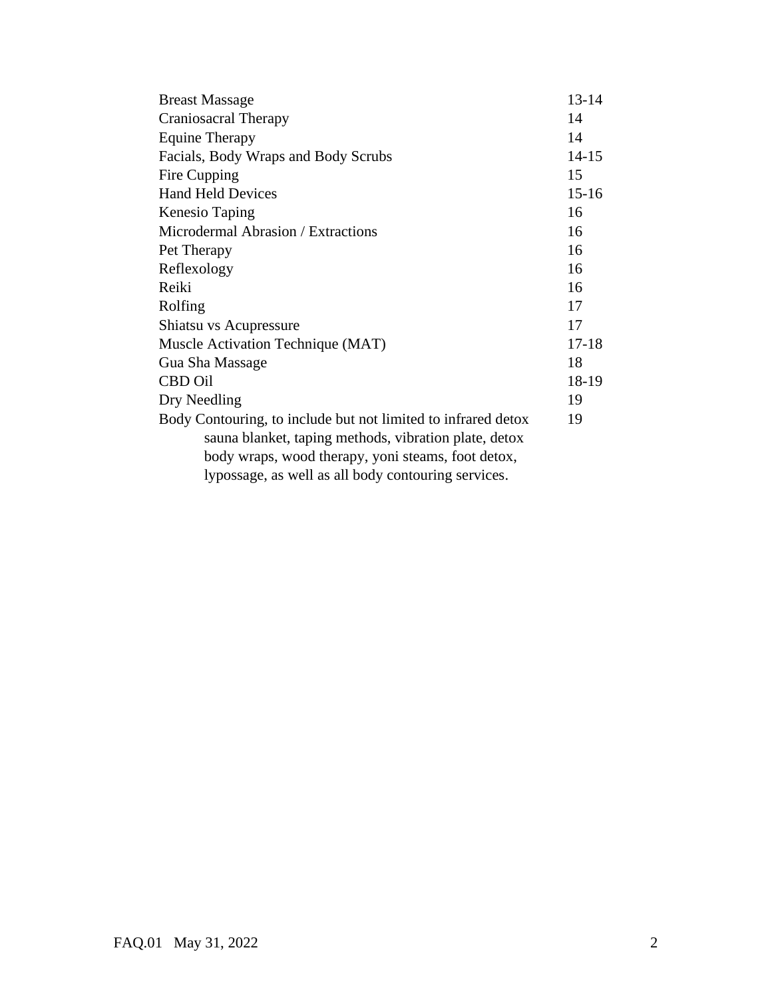| <b>Breast Massage</b>                                         | $13 - 14$ |
|---------------------------------------------------------------|-----------|
| Craniosacral Therapy                                          | 14        |
| <b>Equine Therapy</b>                                         |           |
| Facials, Body Wraps and Body Scrubs                           |           |
| Fire Cupping                                                  | 15        |
| <b>Hand Held Devices</b>                                      |           |
| Kenesio Taping                                                | 16        |
| Microdermal Abrasion / Extractions                            |           |
| Pet Therapy                                                   |           |
| Reflexology                                                   | 16        |
| Reiki                                                         | 16        |
| Rolfing                                                       | 17        |
| Shiatsu vs Acupressure                                        | 17        |
| Muscle Activation Technique (MAT)                             |           |
| Gua Sha Massage                                               |           |
| <b>CBD</b> Oil                                                |           |
| Dry Needling                                                  |           |
| Body Contouring, to include but not limited to infrared detox |           |
| sauna blanket, taping methods, vibration plate, detox         |           |
| body wraps, wood therapy, yoni steams, foot detox,            |           |
| lypossage, as well as all body contouring services.           |           |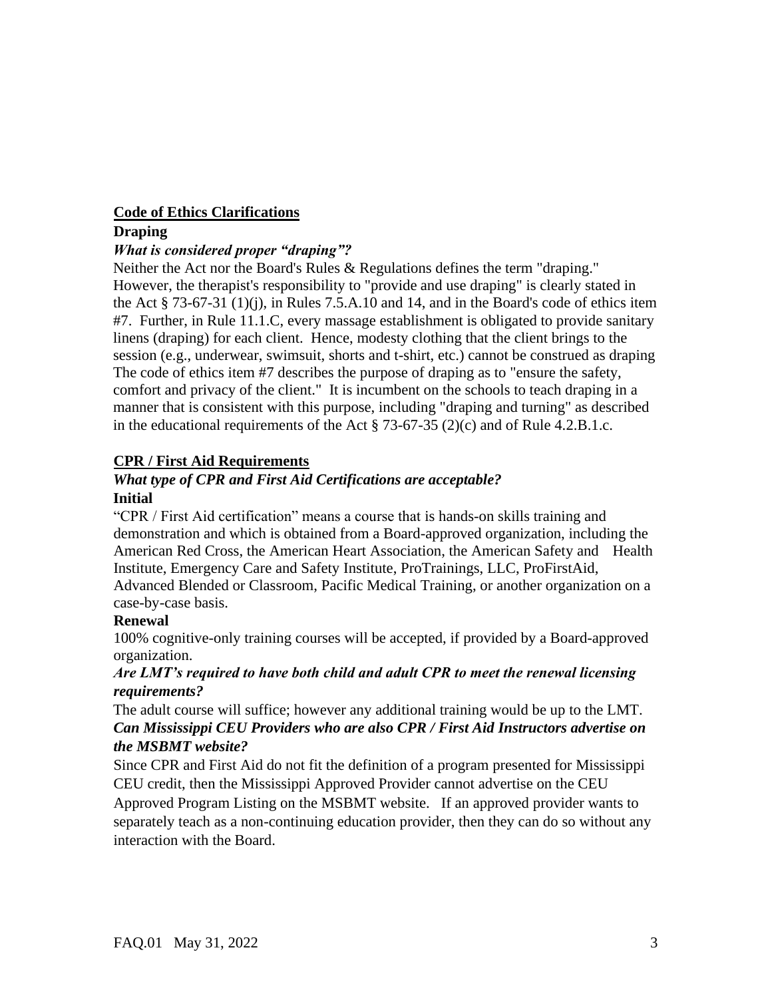### **Code of Ethics Clarifications**

### **Draping**

# *What is considered proper "draping"?*

Neither the Act nor the Board's Rules & Regulations defines the term "draping." However, the therapist's responsibility to "provide and use draping" is clearly stated in the Act  $\S$  73-67-31 (1)(j), in Rules 7.5.A.10 and 14, and in the Board's code of ethics item #7. Further, in Rule 11.1.C, every massage establishment is obligated to provide sanitary linens (draping) for each client. Hence, modesty clothing that the client brings to the session (e.g., underwear, swimsuit, shorts and t-shirt, etc.) cannot be construed as draping The code of ethics item #7 describes the purpose of draping as to "ensure the safety, comfort and privacy of the client." It is incumbent on the schools to teach draping in a manner that is consistent with this purpose, including "draping and turning" as described in the educational requirements of the Act § 73-67-35 (2)(c) and of Rule 4.2.B.1.c.

# **CPR / First Aid Requirements**

### *What type of CPR and First Aid Certifications are acceptable?*  **Initial**

"CPR / First Aid certification" means a course that is hands-on skills training and demonstration and which is obtained from a Board-approved organization, including the American Red Cross, the American Heart Association, the American Safety and Health Institute, Emergency Care and Safety Institute, ProTrainings, LLC, ProFirstAid, Advanced Blended or Classroom, Pacific Medical Training, or another organization on a case-by-case basis.

# **Renewal**

100% cognitive-only training courses will be accepted, if provided by a Board-approved organization.

# *Are LMT's required to have both child and adult CPR to meet the renewal licensing requirements?*

The adult course will suffice; however any additional training would be up to the LMT. *Can Mississippi CEU Providers who are also CPR / First Aid Instructors advertise on the MSBMT website?*

Since CPR and First Aid do not fit the definition of a program presented for Mississippi CEU credit, then the Mississippi Approved Provider cannot advertise on the CEU Approved Program Listing on the MSBMT website. If an approved provider wants to separately teach as a non-continuing education provider, then they can do so without any interaction with the Board.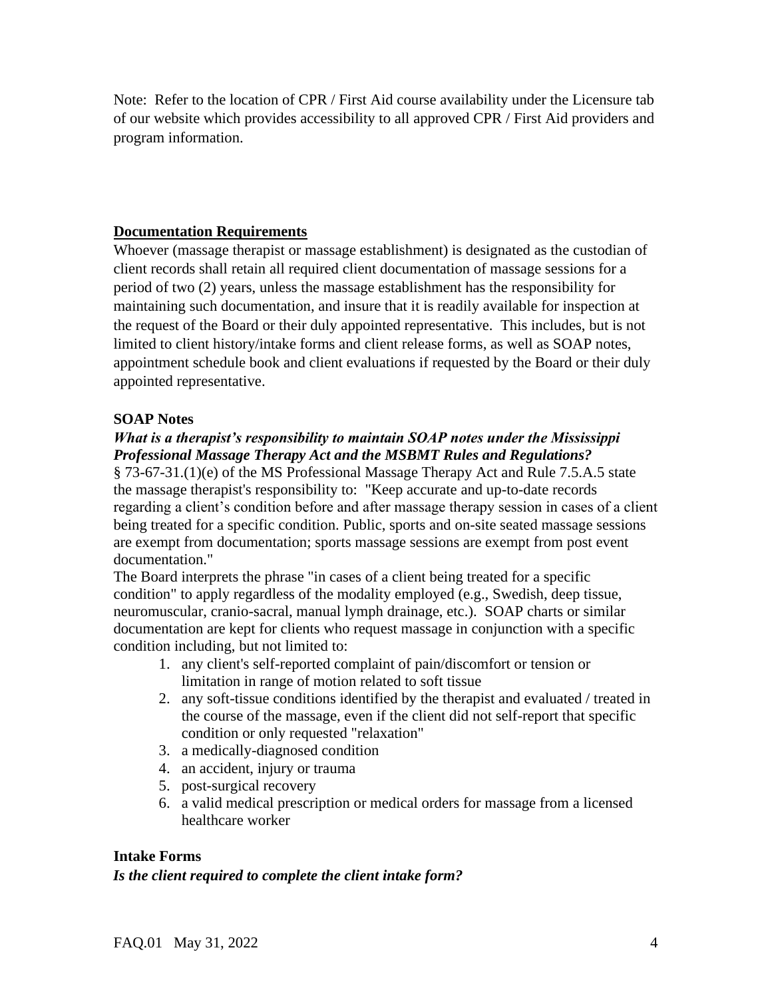Note: Refer to the location of CPR / First Aid course availability under the Licensure tab of our website which provides accessibility to all approved CPR / First Aid providers and program information.

### **Documentation Requirements**

Whoever (massage therapist or massage establishment) is designated as the custodian of client records shall retain all required client documentation of massage sessions for a period of two (2) years, unless the massage establishment has the responsibility for maintaining such documentation, and insure that it is readily available for inspection at the request of the Board or their duly appointed representative. This includes, but is not limited to client history/intake forms and client release forms, as well as SOAP notes, appointment schedule book and client evaluations if requested by the Board or their duly appointed representative.

### **SOAP Notes**

# *What is a therapist's responsibility to maintain SOAP notes under the Mississippi Professional Massage Therapy Act and the MSBMT Rules and Regulations?*

§ 73-67-31.(1)(e) of the MS Professional Massage Therapy Act and Rule 7.5.A.5 state the massage therapist's responsibility to: "Keep accurate and up-to-date records regarding a client's condition before and after massage therapy session in cases of a client being treated for a specific condition. Public, sports and on-site seated massage sessions are exempt from documentation; sports massage sessions are exempt from post event documentation."

The Board interprets the phrase "in cases of a client being treated for a specific condition" to apply regardless of the modality employed (e.g., Swedish, deep tissue, neuromuscular, cranio-sacral, manual lymph drainage, etc.). SOAP charts or similar documentation are kept for clients who request massage in conjunction with a specific condition including, but not limited to:

- 1. any client's self-reported complaint of pain/discomfort or tension or limitation in range of motion related to soft tissue
- 2. any soft-tissue conditions identified by the therapist and evaluated / treated in the course of the massage, even if the client did not self-report that specific condition or only requested "relaxation"
- 3. a medically-diagnosed condition
- 4. an accident, injury or trauma
- 5. post-surgical recovery
- 6. a valid medical prescription or medical orders for massage from a licensed healthcare worker

### **Intake Forms**

### *Is the client required to complete the client intake form?*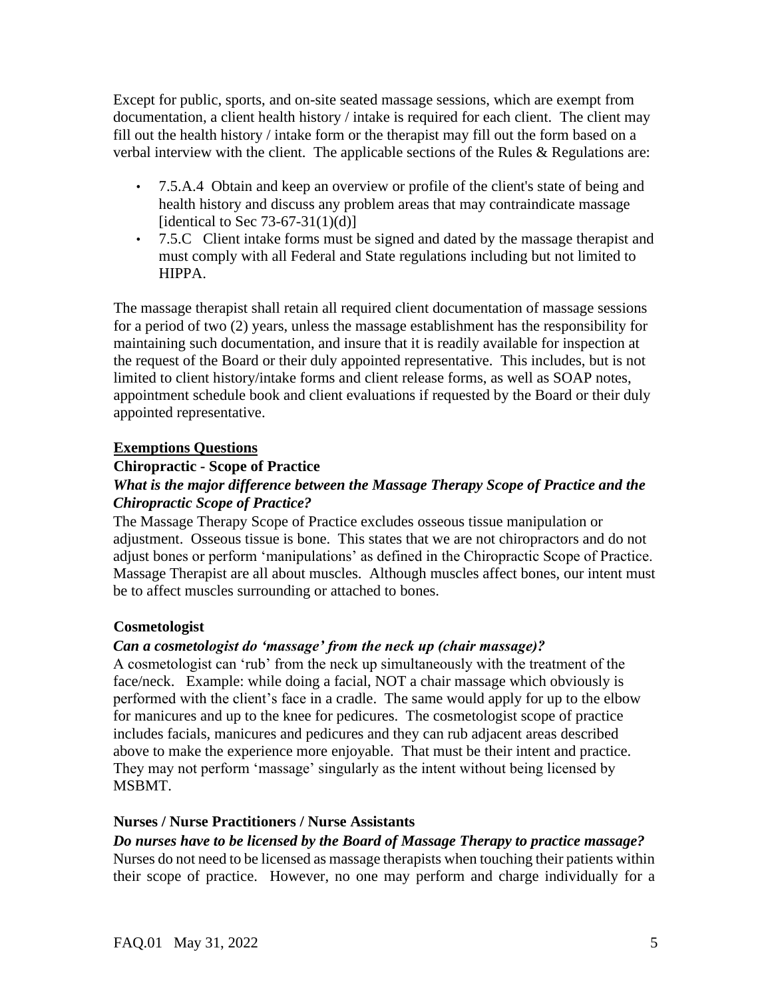Except for public, sports, and on-site seated massage sessions, which are exempt from documentation, a client health history / intake is required for each client. The client may fill out the health history / intake form or the therapist may fill out the form based on a verbal interview with the client. The applicable sections of the Rules & Regulations are:

- 7.5.A.4 Obtain and keep an overview or profile of the client's state of being and health history and discuss any problem areas that may contraindicate massage [identical to Sec  $73-67-31(1)(d)$ ]
- 7.5.C Client intake forms must be signed and dated by the massage therapist and must comply with all Federal and State regulations including but not limited to HIPPA.

The massage therapist shall retain all required client documentation of massage sessions for a period of two (2) years, unless the massage establishment has the responsibility for maintaining such documentation, and insure that it is readily available for inspection at the request of the Board or their duly appointed representative. This includes, but is not limited to client history/intake forms and client release forms, as well as SOAP notes, appointment schedule book and client evaluations if requested by the Board or their duly appointed representative.

### **Exemptions Questions**

# **Chiropractic - Scope of Practice**

# *What is the major difference between the Massage Therapy Scope of Practice and the Chiropractic Scope of Practice?*

The Massage Therapy Scope of Practice excludes osseous tissue manipulation or adjustment. Osseous tissue is bone. This states that we are not chiropractors and do not adjust bones or perform 'manipulations' as defined in the Chiropractic Scope of Practice. Massage Therapist are all about muscles. Although muscles affect bones, our intent must be to affect muscles surrounding or attached to bones.

# **Cosmetologist**

# *Can a cosmetologist do 'massage' from the neck up (chair massage)?*

A cosmetologist can 'rub' from the neck up simultaneously with the treatment of the face/neck. Example: while doing a facial, NOT a chair massage which obviously is performed with the client's face in a cradle. The same would apply for up to the elbow for manicures and up to the knee for pedicures. The cosmetologist scope of practice includes facials, manicures and pedicures and they can rub adjacent areas described above to make the experience more enjoyable. That must be their intent and practice. They may not perform 'massage' singularly as the intent without being licensed by MSBMT.

### **Nurses / Nurse Practitioners / Nurse Assistants**

### *Do nurses have to be licensed by the Board of Massage Therapy to practice massage?*

Nurses do not need to be licensed as massage therapists when touching their patients within their scope of practice. However, no one may perform and charge individually for a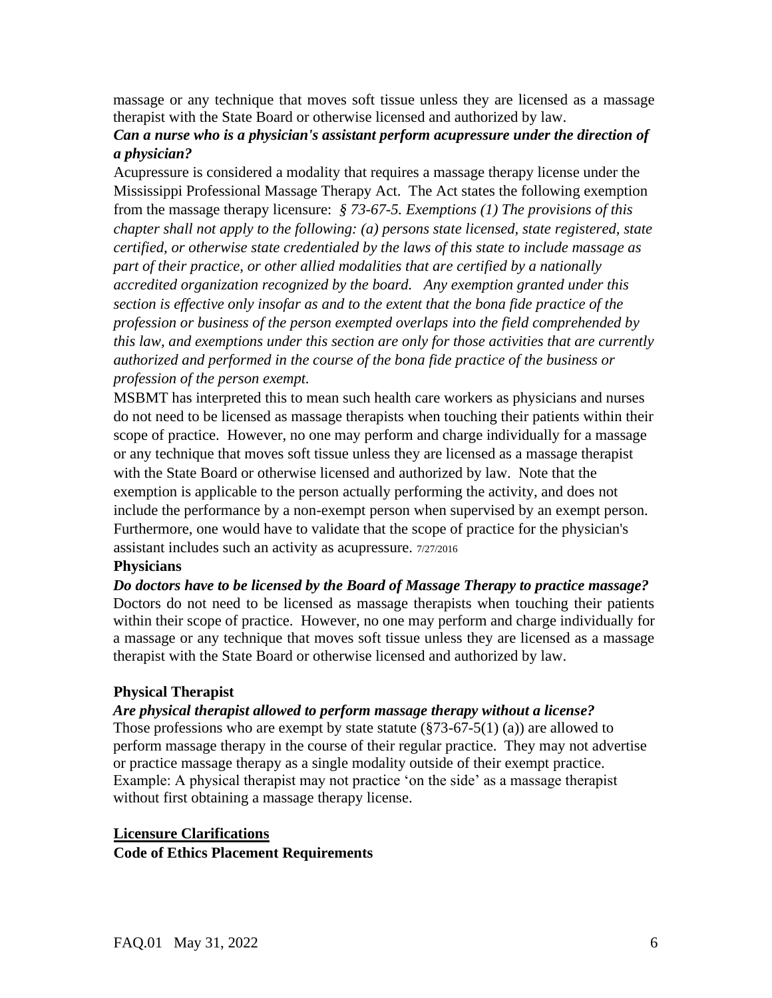massage or any technique that moves soft tissue unless they are licensed as a massage therapist with the State Board or otherwise licensed and authorized by law.

# *Can a nurse who is a physician's assistant perform acupressure under the direction of a physician?*

Acupressure is considered a modality that requires a massage therapy license under the Mississippi Professional Massage Therapy Act. The Act states the following exemption from the massage therapy licensure: *§ 73-67-5. Exemptions (1) The provisions of this chapter shall not apply to the following: (a) persons state licensed, state registered, state certified, or otherwise state credentialed by the laws of this state to include massage as part of their practice, or other allied modalities that are certified by a nationally accredited organization recognized by the board. Any exemption granted under this section is effective only insofar as and to the extent that the bona fide practice of the profession or business of the person exempted overlaps into the field comprehended by this law, and exemptions under this section are only for those activities that are currently authorized and performed in the course of the bona fide practice of the business or profession of the person exempt.* 

MSBMT has interpreted this to mean such health care workers as physicians and nurses do not need to be licensed as massage therapists when touching their patients within their scope of practice. However, no one may perform and charge individually for a massage or any technique that moves soft tissue unless they are licensed as a massage therapist with the State Board or otherwise licensed and authorized by law. Note that the exemption is applicable to the person actually performing the activity, and does not include the performance by a non-exempt person when supervised by an exempt person. Furthermore, one would have to validate that the scope of practice for the physician's assistant includes such an activity as acupressure. 7/27/2016

#### **Physicians**

*Do doctors have to be licensed by the Board of Massage Therapy to practice massage?*  Doctors do not need to be licensed as massage therapists when touching their patients within their scope of practice. However, no one may perform and charge individually for a massage or any technique that moves soft tissue unless they are licensed as a massage therapist with the State Board or otherwise licensed and authorized by law.

### **Physical Therapist**

#### *Are physical therapist allowed to perform massage therapy without a license?*

Those professions who are exempt by state statute  $(\frac{8}{3}\times 73.67 - 5(1)$  (a)) are allowed to perform massage therapy in the course of their regular practice. They may not advertise or practice massage therapy as a single modality outside of their exempt practice. Example: A physical therapist may not practice 'on the side' as a massage therapist without first obtaining a massage therapy license.

# **Licensure Clarifications Code of Ethics Placement Requirements**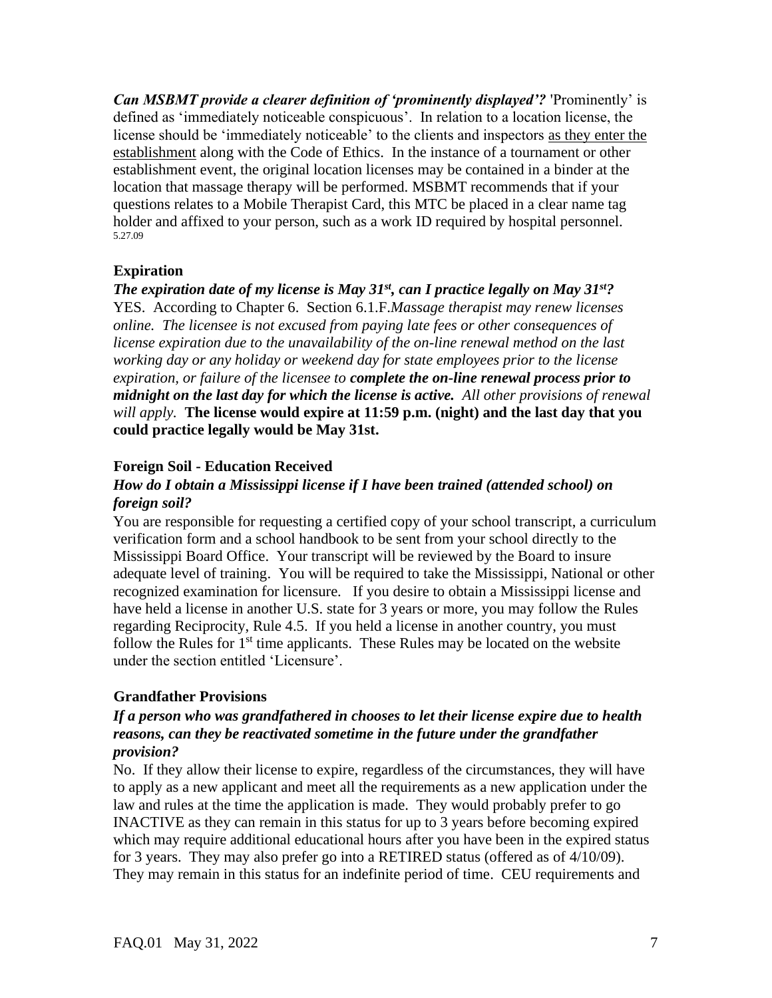*Can MSBMT provide a clearer definition of 'prominently displayed'?* 'Prominently' is defined as 'immediately noticeable conspicuous'. In relation to a location license, the license should be 'immediately noticeable' to the clients and inspectors as they enter the establishment along with the Code of Ethics. In the instance of a tournament or other establishment event, the original location licenses may be contained in a binder at the location that massage therapy will be performed. MSBMT recommends that if your questions relates to a Mobile Therapist Card, this MTC be placed in a clear name tag holder and affixed to your person, such as a work ID required by hospital personnel. 5.27.09

### **Expiration**

*The expiration date of my license is May 31st, can I practice legally on May 31st?* YES. According to Chapter 6. Section 6.1.F.*Massage therapist may renew licenses online. The licensee is not excused from paying late fees or other consequences of license expiration due to the unavailability of the on-line renewal method on the last working day or any holiday or weekend day for state employees prior to the license expiration, or failure of the licensee to complete the on-line renewal process prior to midnight on the last day for which the license is active. All other provisions of renewal will apply.* **The license would expire at 11:59 p.m. (night) and the last day that you could practice legally would be May 31st.** 

### **Foreign Soil - Education Received**

### *How do I obtain a Mississippi license if I have been trained (attended school) on foreign soil?*

You are responsible for requesting a certified copy of your school transcript, a curriculum verification form and a school handbook to be sent from your school directly to the Mississippi Board Office. Your transcript will be reviewed by the Board to insure adequate level of training. You will be required to take the Mississippi, National or other recognized examination for licensure. If you desire to obtain a Mississippi license and have held a license in another U.S. state for 3 years or more, you may follow the Rules regarding Reciprocity, Rule 4.5. If you held a license in another country, you must follow the Rules for  $1<sup>st</sup>$  time applicants. These Rules may be located on the website under the section entitled 'Licensure'.

# **Grandfather Provisions**

# *If a person who was grandfathered in chooses to let their license expire due to health reasons, can they be reactivated sometime in the future under the grandfather provision?*

No. If they allow their license to expire, regardless of the circumstances, they will have to apply as a new applicant and meet all the requirements as a new application under the law and rules at the time the application is made. They would probably prefer to go INACTIVE as they can remain in this status for up to 3 years before becoming expired which may require additional educational hours after you have been in the expired status for 3 years. They may also prefer go into a RETIRED status (offered as of 4/10/09). They may remain in this status for an indefinite period of time. CEU requirements and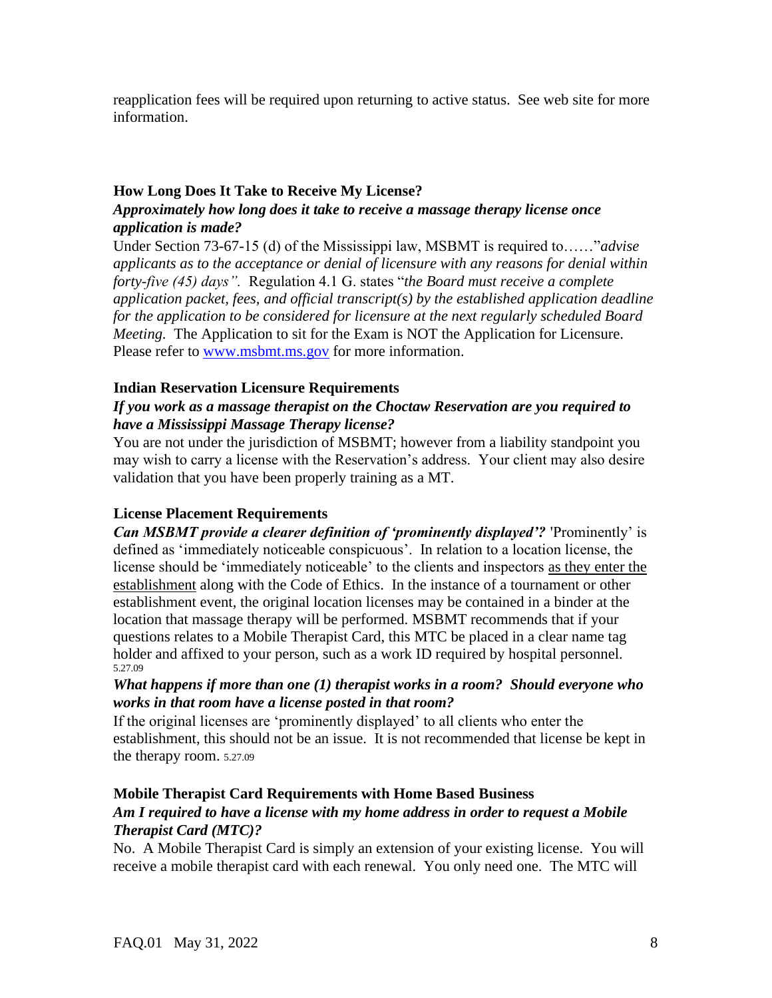reapplication fees will be required upon returning to active status. See web site for more information.

### **How Long Does It Take to Receive My License?**

### *Approximately how long does it take to receive a massage therapy license once application is made?*

Under Section 73-67-15 (d) of the Mississippi law, MSBMT is required to……"*advise applicants as to the acceptance or denial of licensure with any reasons for denial within forty-five (45) days".* Regulation 4.1 G. states "*the Board must receive a complete application packet, fees, and official transcript(s) by the established application deadline for the application to be considered for licensure at the next regularly scheduled Board Meeting.* The Application to sit for the Exam is NOT the Application for Licensure. Please refer to www.msbmt.ms.go[v](http://www.msbmt.state.ms.us/) for more information.

### **Indian Reservation Licensure Requirements**

# *If you work as a massage therapist on the Choctaw Reservation are you required to have a Mississippi Massage Therapy license?*

You are not under the jurisdiction of MSBMT; however from a liability standpoint you may wish to carry a license with the Reservation's address. Your client may also desire validation that you have been properly training as a MT.

# **License Placement Requirements**

*Can MSBMT provide a clearer definition of 'prominently displayed'?* 'Prominently' is defined as 'immediately noticeable conspicuous'. In relation to a location license, the license should be 'immediately noticeable' to the clients and inspectors as they enter the establishment along with the Code of Ethics. In the instance of a tournament or other establishment event, the original location licenses may be contained in a binder at the location that massage therapy will be performed. MSBMT recommends that if your questions relates to a Mobile Therapist Card, this MTC be placed in a clear name tag holder and affixed to your person, such as a work ID required by hospital personnel. 5.27.09

### *What happens if more than one (1) therapist works in a room? Should everyone who works in that room have a license posted in that room?*

If the original licenses are 'prominently displayed' to all clients who enter the establishment, this should not be an issue. It is not recommended that license be kept in the therapy room. 5.27.09

# **Mobile Therapist Card Requirements with Home Based Business**

# *Am I required to have a license with my home address in order to request a Mobile Therapist Card (MTC)?*

No. A Mobile Therapist Card is simply an extension of your existing license. You will receive a mobile therapist card with each renewal. You only need one. The MTC will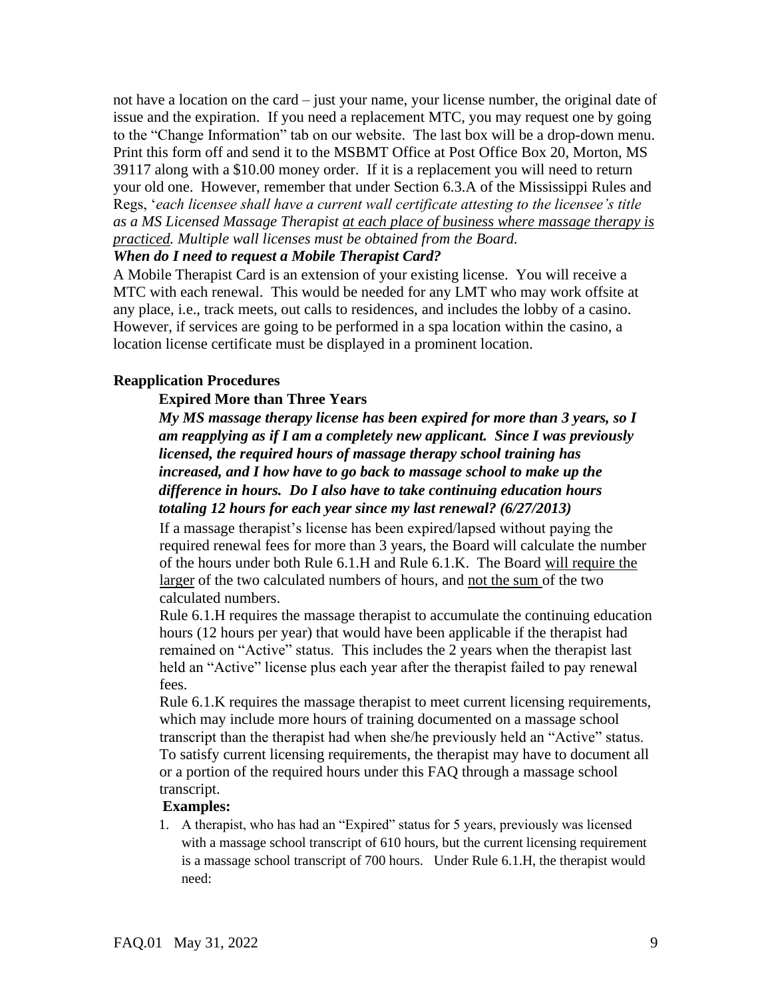not have a location on the card – just your name, your license number, the original date of issue and the expiration. If you need a replacement MTC, you may request one by going to the "Change Information" tab on our website. The last box will be a drop-down menu. Print this form off and send it to the MSBMT Office at Post Office Box 20, Morton, MS 39117 along with a \$10.00 money order. If it is a replacement you will need to return your old one. However, remember that under Section 6.3.A of the Mississippi Rules and Regs, '*each licensee shall have a current wall certificate attesting to the licensee's title as a MS Licensed Massage Therapist at each place of business where massage therapy is practiced. Multiple wall licenses must be obtained from the Board.* 

### *When do I need to request a Mobile Therapist Card?*

A Mobile Therapist Card is an extension of your existing license. You will receive a MTC with each renewal. This would be needed for any LMT who may work offsite at any place, i.e., track meets, out calls to residences, and includes the lobby of a casino. However, if services are going to be performed in a spa location within the casino, a location license certificate must be displayed in a prominent location.

### **Reapplication Procedures**

#### **Expired More than Three Years**

*My MS massage therapy license has been expired for more than 3 years, so I am reapplying as if I am a completely new applicant. Since I was previously licensed, the required hours of massage therapy school training has increased, and I how have to go back to massage school to make up the difference in hours. Do I also have to take continuing education hours totaling 12 hours for each year since my last renewal? (6/27/2013)* 

If a massage therapist's license has been expired/lapsed without paying the required renewal fees for more than 3 years, the Board will calculate the number of the hours under both Rule 6.1.H and Rule 6.1.K. The Board will require the larger of the two calculated numbers of hours, and not the sum of the two calculated numbers.

Rule 6.1.H requires the massage therapist to accumulate the continuing education hours (12 hours per year) that would have been applicable if the therapist had remained on "Active" status. This includes the 2 years when the therapist last held an "Active" license plus each year after the therapist failed to pay renewal fees.

Rule 6.1.K requires the massage therapist to meet current licensing requirements, which may include more hours of training documented on a massage school transcript than the therapist had when she/he previously held an "Active" status. To satisfy current licensing requirements, the therapist may have to document all or a portion of the required hours under this FAQ through a massage school transcript.

#### **Examples:**

1. A therapist, who has had an "Expired" status for 5 years, previously was licensed with a massage school transcript of 610 hours, but the current licensing requirement is a massage school transcript of 700 hours. Under Rule 6.1.H, the therapist would need: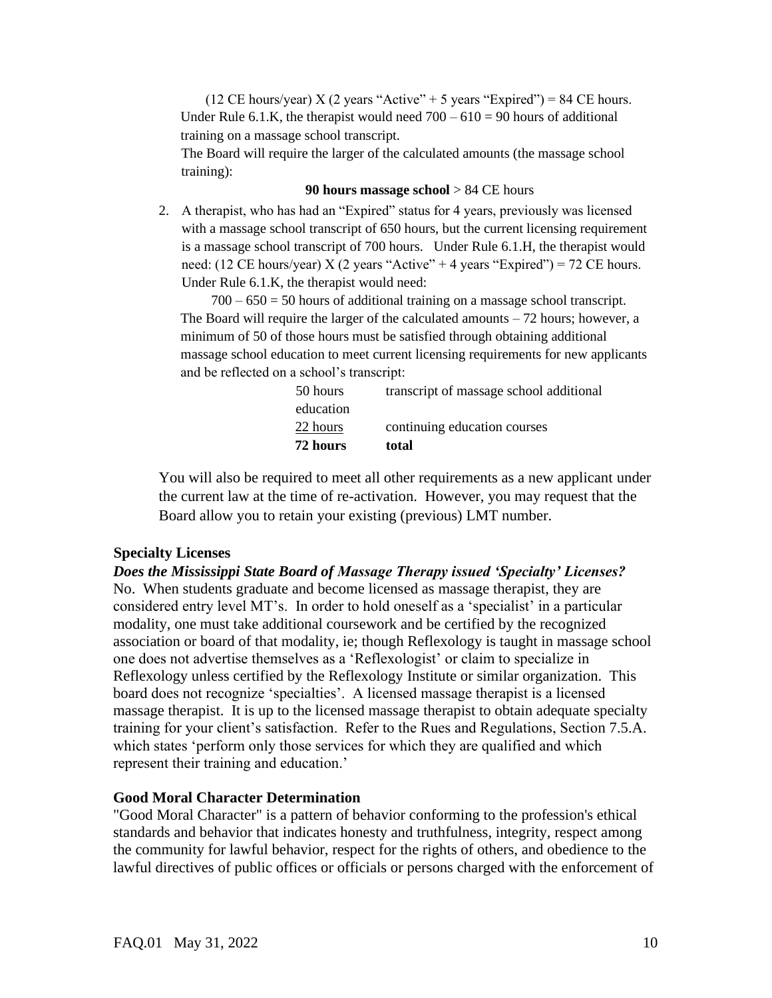(12 CE hours/year) X (2 years "Active" + 5 years "Expired") = 84 CE hours. Under Rule 6.1.K, the therapist would need  $700 - 610 = 90$  hours of additional training on a massage school transcript.

The Board will require the larger of the calculated amounts (the massage school training):

#### **90 hours massage school** > 84 CE hours

2. A therapist, who has had an "Expired" status for 4 years, previously was licensed with a massage school transcript of 650 hours, but the current licensing requirement is a massage school transcript of 700 hours. Under Rule 6.1.H, the therapist would need: (12 CE hours/year) X (2 years "Active" + 4 years "Expired") = 72 CE hours. Under Rule 6.1.K, the therapist would need:

 $700 - 650 = 50$  hours of additional training on a massage school transcript. The Board will require the larger of the calculated amounts – 72 hours; however, a minimum of 50 of those hours must be satisfied through obtaining additional massage school education to meet current licensing requirements for new applicants and be reflected on a school's transcript:

| 72 hours  | total                                   |
|-----------|-----------------------------------------|
| 22 hours  | continuing education courses            |
| education |                                         |
| 50 hours  | transcript of massage school additional |

You will also be required to meet all other requirements as a new applicant under the current law at the time of re-activation. However, you may request that the Board allow you to retain your existing (previous) LMT number.

#### **Specialty Licenses**

*Does the Mississippi State Board of Massage Therapy issued 'Specialty' Licenses?* No. When students graduate and become licensed as massage therapist, they are considered entry level MT's. In order to hold oneself as a 'specialist' in a particular modality, one must take additional coursework and be certified by the recognized association or board of that modality, ie; though Reflexology is taught in massage school one does not advertise themselves as a 'Reflexologist' or claim to specialize in Reflexology unless certified by the Reflexology Institute or similar organization. This board does not recognize 'specialties'. A licensed massage therapist is a licensed massage therapist. It is up to the licensed massage therapist to obtain adequate specialty training for your client's satisfaction. Refer to the Rues and Regulations, Section 7.5.A. which states 'perform only those services for which they are qualified and which represent their training and education.'

### **Good Moral Character Determination**

"Good Moral Character" is a pattern of behavior conforming to the profession's ethical standards and behavior that indicates honesty and truthfulness, integrity, respect among the community for lawful behavior, respect for the rights of others, and obedience to the lawful directives of public offices or officials or persons charged with the enforcement of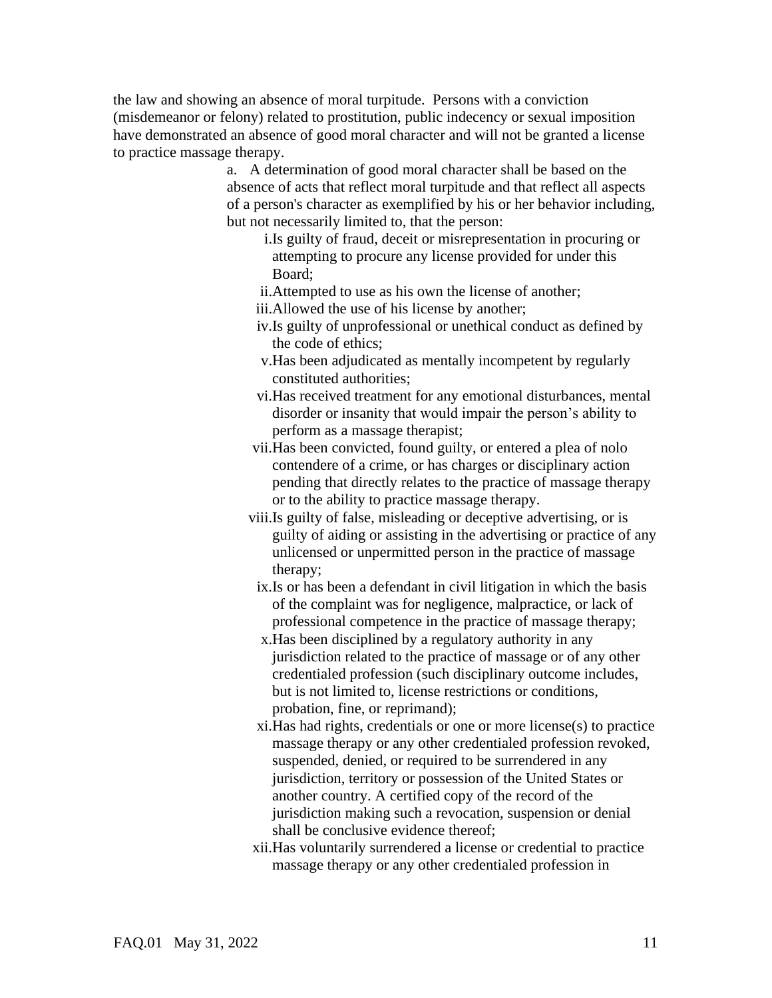the law and showing an absence of moral turpitude. Persons with a conviction (misdemeanor or felony) related to prostitution, public indecency or sexual imposition have demonstrated an absence of good moral character and will not be granted a license to practice massage therapy.

> a. A determination of good moral character shall be based on the absence of acts that reflect moral turpitude and that reflect all aspects of a person's character as exemplified by his or her behavior including, but not necessarily limited to, that the person:

- i.Is guilty of fraud, deceit or misrepresentation in procuring or attempting to procure any license provided for under this Board;
- ii.Attempted to use as his own the license of another;
- iii.Allowed the use of his license by another;
- iv.Is guilty of unprofessional or unethical conduct as defined by the code of ethics;
- v.Has been adjudicated as mentally incompetent by regularly constituted authorities;
- vi.Has received treatment for any emotional disturbances, mental disorder or insanity that would impair the person's ability to perform as a massage therapist;
- vii.Has been convicted, found guilty, or entered a plea of nolo contendere of a crime, or has charges or disciplinary action pending that directly relates to the practice of massage therapy or to the ability to practice massage therapy.
- viii.Is guilty of false, misleading or deceptive advertising, or is guilty of aiding or assisting in the advertising or practice of any unlicensed or unpermitted person in the practice of massage therapy;
	- ix.Is or has been a defendant in civil litigation in which the basis of the complaint was for negligence, malpractice, or lack of professional competence in the practice of massage therapy;
	- x.Has been disciplined by a regulatory authority in any jurisdiction related to the practice of massage or of any other credentialed profession (such disciplinary outcome includes, but is not limited to, license restrictions or conditions, probation, fine, or reprimand);
	- xi.Has had rights, credentials or one or more license(s) to practice massage therapy or any other credentialed profession revoked, suspended, denied, or required to be surrendered in any jurisdiction, territory or possession of the United States or another country. A certified copy of the record of the jurisdiction making such a revocation, suspension or denial shall be conclusive evidence thereof;
- xii.Has voluntarily surrendered a license or credential to practice massage therapy or any other credentialed profession in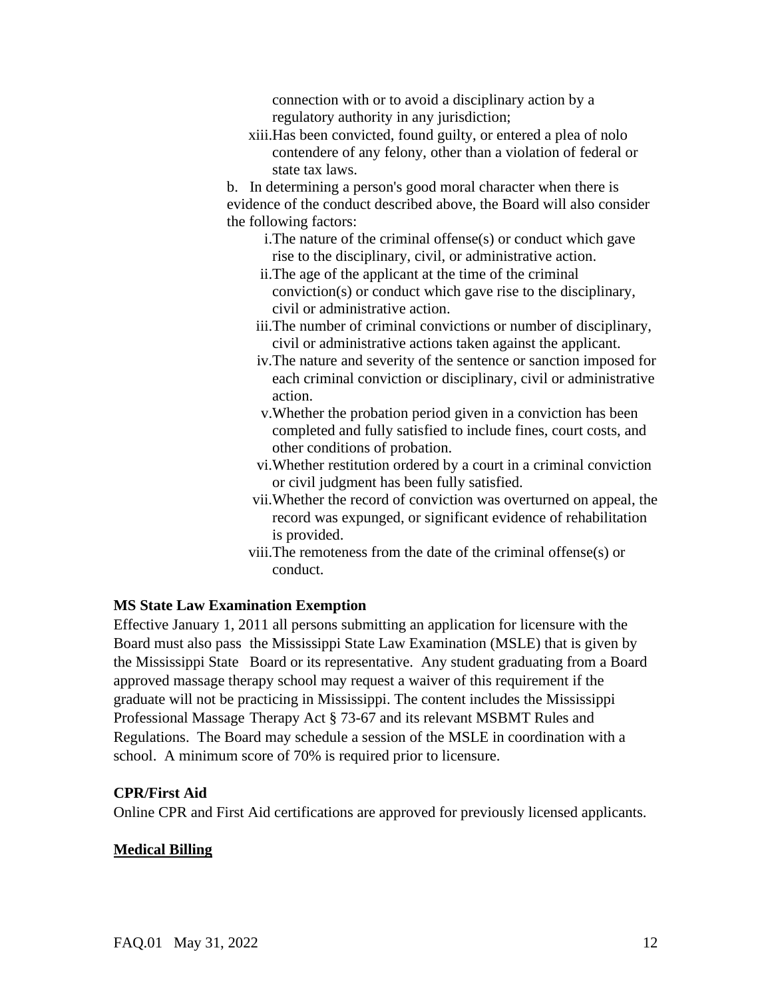connection with or to avoid a disciplinary action by a regulatory authority in any jurisdiction;

xiii.Has been convicted, found guilty, or entered a plea of nolo contendere of any felony, other than a violation of federal or state tax laws.

b. In determining a person's good moral character when there is evidence of the conduct described above, the Board will also consider the following factors:

- i.The nature of the criminal offense(s) or conduct which gave rise to the disciplinary, civil, or administrative action.
- ii.The age of the applicant at the time of the criminal conviction(s) or conduct which gave rise to the disciplinary, civil or administrative action.
- iii.The number of criminal convictions or number of disciplinary, civil or administrative actions taken against the applicant.
- iv.The nature and severity of the sentence or sanction imposed for each criminal conviction or disciplinary, civil or administrative action.
- v.Whether the probation period given in a conviction has been completed and fully satisfied to include fines, court costs, and other conditions of probation.
- vi.Whether restitution ordered by a court in a criminal conviction or civil judgment has been fully satisfied.
- vii.Whether the record of conviction was overturned on appeal, the record was expunged, or significant evidence of rehabilitation is provided.
- viii.The remoteness from the date of the criminal offense(s) or conduct.

#### **MS State Law Examination Exemption**

Effective January 1, 2011 all persons submitting an application for licensure with the Board must also pass the Mississippi State Law Examination (MSLE) that is given by the Mississippi State Board or its representative. Any student graduating from a Board approved massage therapy school may request a waiver of this requirement if the graduate will not be practicing in Mississippi. The content includes the Mississippi Professional Massage Therapy Act § 73-67 and its relevant MSBMT Rules and Regulations. The Board may schedule a session of the MSLE in coordination with a school. A minimum score of 70% is required prior to licensure.

#### **CPR/First Aid**

Online CPR and First Aid certifications are approved for previously licensed applicants.

#### **Medical Billing**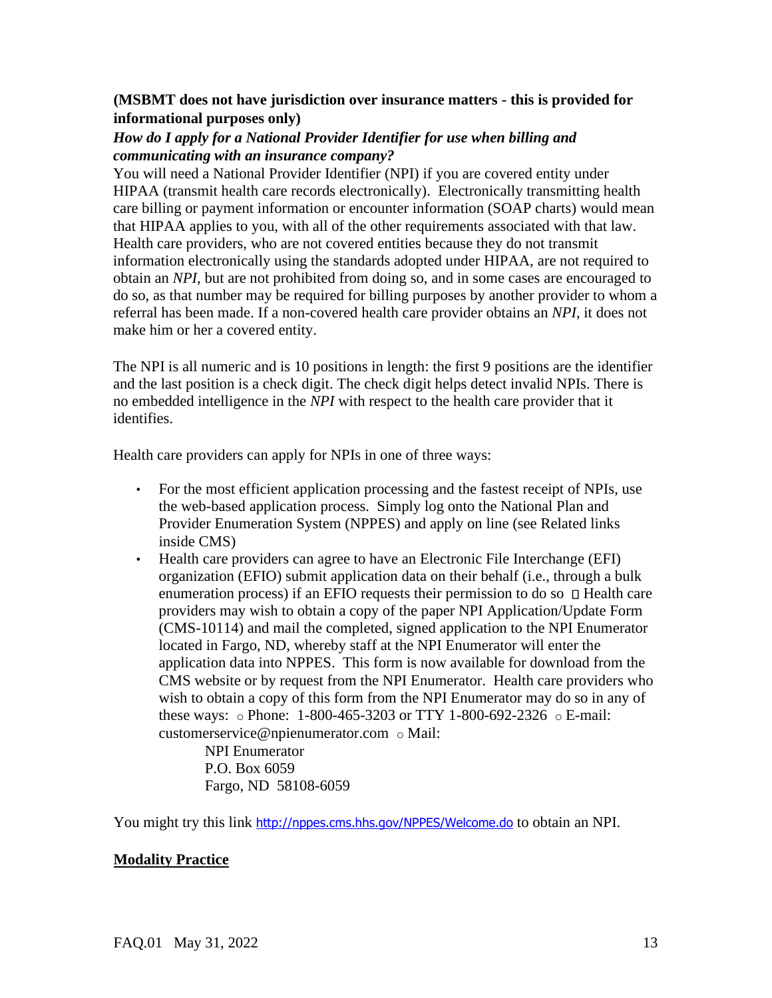# **(MSBMT does not have jurisdiction over insurance matters - this is provided for informational purposes only)**

# *How do I apply for a National Provider Identifier for use when billing and communicating with an insurance company?*

You will need a National Provider Identifier (NPI) if you are covered entity under HIPAA (transmit health care records electronically). Electronically transmitting health care billing or payment information or encounter information (SOAP charts) would mean that HIPAA applies to you, with all of the other requirements associated with that law. Health care providers, who are not covered entities because they do not transmit information electronically using the standards adopted under HIPAA, are not required to obtain an *NPI*, but are not prohibited from doing so, and in some cases are encouraged to do so, as that number may be required for billing purposes by another provider to whom a referral has been made. If a non-covered health care provider obtains an *NPI*, it does not make him or her a covered entity.

The NPI is all numeric and is 10 positions in length: the first 9 positions are the identifier and the last position is a check digit. The check digit helps detect invalid NPIs. There is no embedded intelligence in the *NPI* with respect to the health care provider that it identifies.

Health care providers can apply for NPIs in one of three ways:

- For the most efficient application processing and the fastest receipt of NPIs, use the web-based application process. Simply log onto the National Plan and Provider Enumeration System (NPPES) and apply on line (see Related links inside CMS)
- Health care providers can agree to have an Electronic File Interchange (EFI) organization (EFIO) submit application data on their behalf (i.e., through a bulk enumeration process) if an EFIO requests their permission to do so  $\Box$  Health care providers may wish to obtain a copy of the paper NPI Application/Update Form (CMS-10114) and mail the completed, signed application to the NPI Enumerator located in Fargo, ND, whereby staff at the NPI Enumerator will enter the application data into NPPES. This form is now available for download from the CMS website or by request from the NPI Enumerator. Health care providers who wish to obtain a copy of this form from the NPI Enumerator may do so in any of these ways: o Phone: 1-800-465-3203 or TTY 1-800-692-2326 o E-mail: customerservice@npienumerator.com o Mail:

NPI Enumerator P.O. Box 6059 Fargo, ND 58108-6059

You might try this link <http://nppes.cms.hhs.gov/NPPES/Welcome.do> [t](http://nppes.cms.hhs.gov/NPPES/Welcome.do)o obtain an NPI.

### **Modality Practice**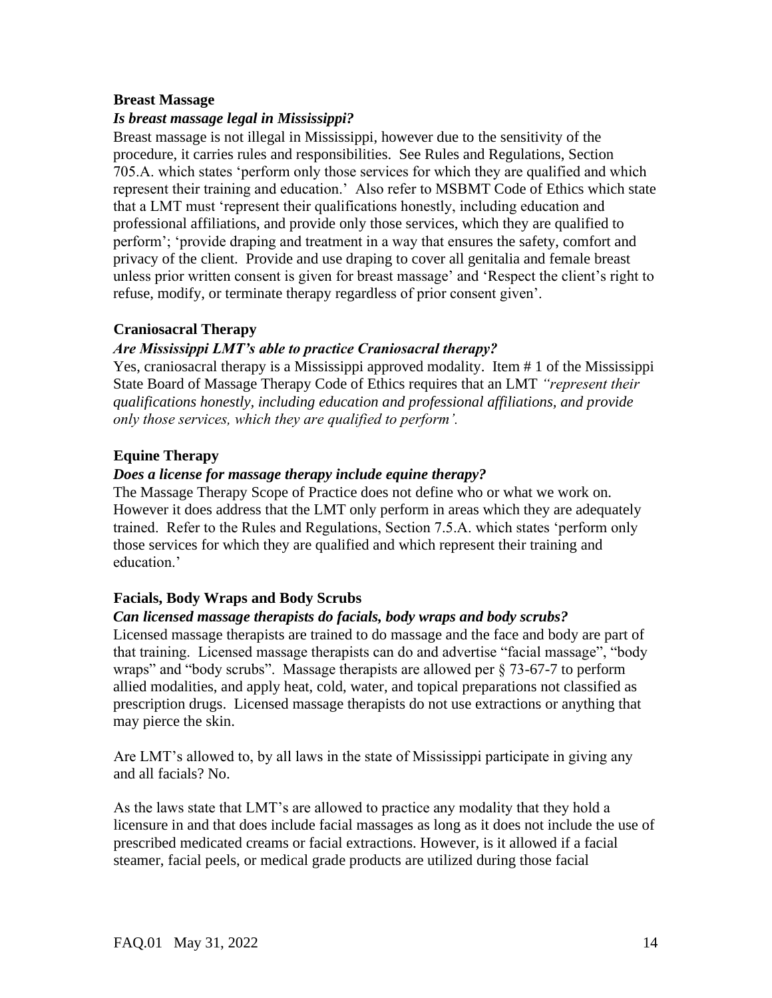### **Breast Massage**

### *Is breast massage legal in Mississippi?*

Breast massage is not illegal in Mississippi, however due to the sensitivity of the procedure, it carries rules and responsibilities. See Rules and Regulations, Section 705.A. which states 'perform only those services for which they are qualified and which represent their training and education.' Also refer to MSBMT Code of Ethics which state that a LMT must 'represent their qualifications honestly, including education and professional affiliations, and provide only those services, which they are qualified to perform'; 'provide draping and treatment in a way that ensures the safety, comfort and privacy of the client. Provide and use draping to cover all genitalia and female breast unless prior written consent is given for breast massage' and 'Respect the client's right to refuse, modify, or terminate therapy regardless of prior consent given'.

### **Craniosacral Therapy**

### *Are Mississippi LMT's able to practice Craniosacral therapy?*

Yes, craniosacral therapy is a Mississippi approved modality. Item # 1 of the Mississippi State Board of Massage Therapy Code of Ethics requires that an LMT *"represent their qualifications honestly, including education and professional affiliations, and provide only those services, which they are qualified to perform'.* 

### **Equine Therapy**

### *Does a license for massage therapy include equine therapy?*

The Massage Therapy Scope of Practice does not define who or what we work on. However it does address that the LMT only perform in areas which they are adequately trained. Refer to the Rules and Regulations, Section 7.5.A. which states 'perform only those services for which they are qualified and which represent their training and education.'

# **Facials, Body Wraps and Body Scrubs**

### *Can licensed massage therapists do facials, body wraps and body scrubs?*

Licensed massage therapists are trained to do massage and the face and body are part of that training. Licensed massage therapists can do and advertise "facial massage", "body wraps" and "body scrubs". Massage therapists are allowed per  $\S$  73-67-7 to perform allied modalities, and apply heat, cold, water, and topical preparations not classified as prescription drugs. Licensed massage therapists do not use extractions or anything that may pierce the skin.

Are LMT's allowed to, by all laws in the state of Mississippi participate in giving any and all facials? No.

As the laws state that LMT's are allowed to practice any modality that they hold a licensure in and that does include facial massages as long as it does not include the use of prescribed medicated creams or facial extractions. However, is it allowed if a facial steamer, facial peels, or medical grade products are utilized during those facial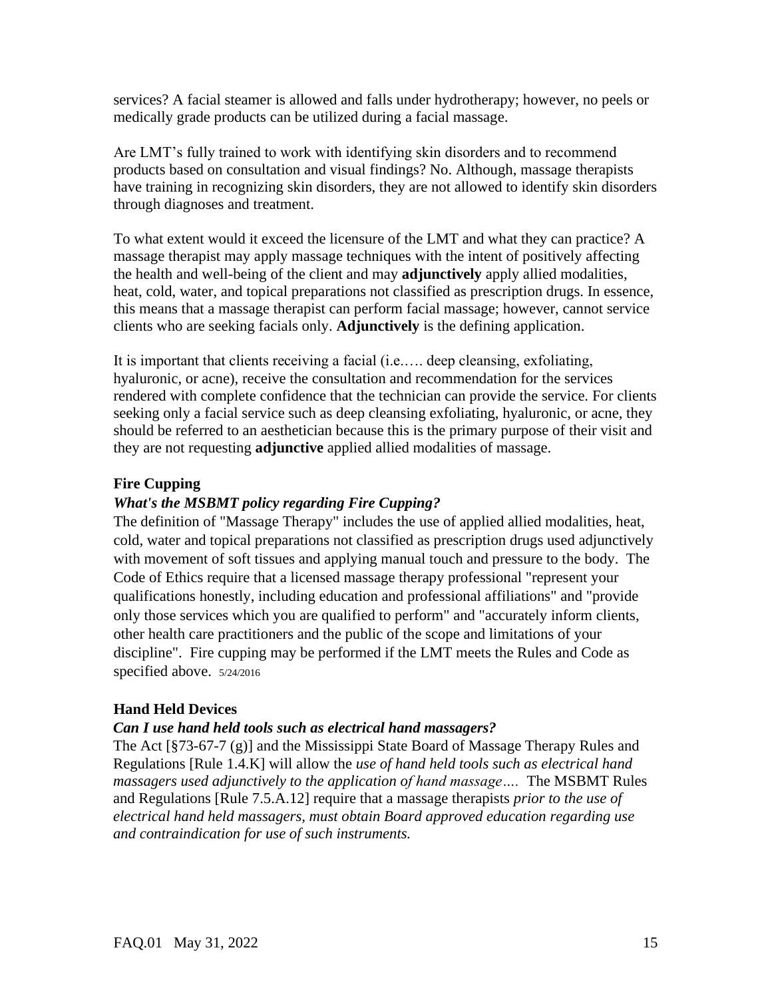services? A facial steamer is allowed and falls under hydrotherapy; however, no peels or medically grade products can be utilized during a facial massage.

Are LMT's fully trained to work with identifying skin disorders and to recommend products based on consultation and visual findings? No. Although, massage therapists have training in recognizing skin disorders, they are not allowed to identify skin disorders through diagnoses and treatment.

To what extent would it exceed the licensure of the LMT and what they can practice? A massage therapist may apply massage techniques with the intent of positively affecting the health and well-being of the client and may **adjunctively** apply allied modalities, heat, cold, water, and topical preparations not classified as prescription drugs. In essence, this means that a massage therapist can perform facial massage; however, cannot service clients who are seeking facials only. **Adjunctively** is the defining application.

It is important that clients receiving a facial (i.e.…. deep cleansing, exfoliating, hyaluronic, or acne), receive the consultation and recommendation for the services rendered with complete confidence that the technician can provide the service. For clients seeking only a facial service such as deep cleansing exfoliating, hyaluronic, or acne, they should be referred to an aesthetician because this is the primary purpose of their visit and they are not requesting **adjunctive** applied allied modalities of massage.

### **Fire Cupping**

# *What's the MSBMT policy regarding Fire Cupping?*

The definition of "Massage Therapy" includes the use of applied allied modalities, heat, cold, water and topical preparations not classified as prescription drugs used adjunctively with movement of soft tissues and applying manual touch and pressure to the body. The Code of Ethics require that a licensed massage therapy professional "represent your qualifications honestly, including education and professional affiliations" and "provide only those services which you are qualified to perform" and "accurately inform clients, other health care practitioners and the public of the scope and limitations of your discipline". Fire cupping may be performed if the LMT meets the Rules and Code as specified above. 5/24/2016

# **Hand Held Devices**

# *Can I use hand held tools such as electrical hand massagers?*

The Act [§73-67-7 (g)] and the Mississippi State Board of Massage Therapy Rules and Regulations [Rule 1.4.K] will allow the *use of hand held tools such as electrical hand massagers used adjunctively to the application of hand massage….* The MSBMT Rules and Regulations [Rule 7.5.A.12] require that a massage therapists *prior to the use of electrical hand held massagers, must obtain Board approved education regarding use and contraindication for use of such instruments.*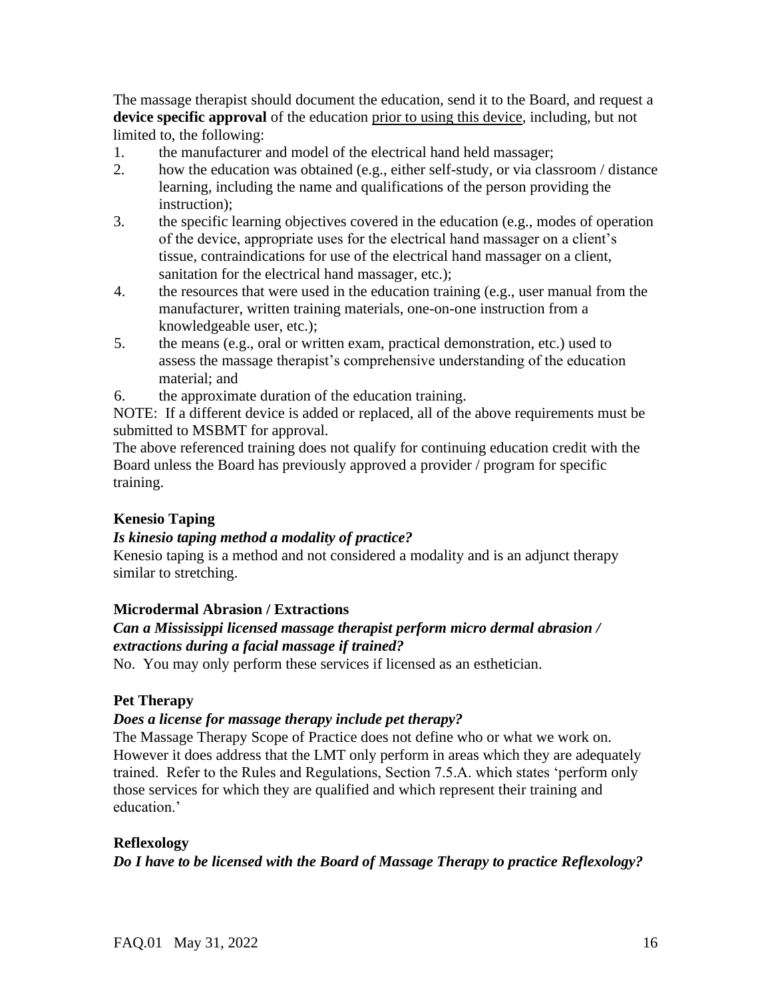The massage therapist should document the education, send it to the Board, and request a **device specific approval** of the education prior to using this device, including, but not limited to, the following:

- 1. the manufacturer and model of the electrical hand held massager;
- 2. how the education was obtained (e.g., either self-study, or via classroom / distance learning, including the name and qualifications of the person providing the instruction);
- 3. the specific learning objectives covered in the education (e.g., modes of operation of the device, appropriate uses for the electrical hand massager on a client's tissue, contraindications for use of the electrical hand massager on a client, sanitation for the electrical hand massager, etc.);
- 4. the resources that were used in the education training (e.g., user manual from the manufacturer, written training materials, one-on-one instruction from a knowledgeable user, etc.);
- 5. the means (e.g., oral or written exam, practical demonstration, etc.) used to assess the massage therapist's comprehensive understanding of the education material; and
- 6. the approximate duration of the education training.

NOTE: If a different device is added or replaced, all of the above requirements must be submitted to MSBMT for approval.

The above referenced training does not qualify for continuing education credit with the Board unless the Board has previously approved a provider / program for specific training.

# **Kenesio Taping**

# *Is kinesio taping method a modality of practice?*

Kenesio taping is a method and not considered a modality and is an adjunct therapy similar to stretching.

# **Microdermal Abrasion / Extractions**

# *Can a Mississippi licensed massage therapist perform micro dermal abrasion / extractions during a facial massage if trained?*

No. You may only perform these services if licensed as an esthetician.

# **Pet Therapy**

# *Does a license for massage therapy include pet therapy?*

The Massage Therapy Scope of Practice does not define who or what we work on. However it does address that the LMT only perform in areas which they are adequately trained. Refer to the Rules and Regulations, Section 7.5.A. which states 'perform only those services for which they are qualified and which represent their training and education.'

# **Reflexology**

# *Do I have to be licensed with the Board of Massage Therapy to practice Reflexology?*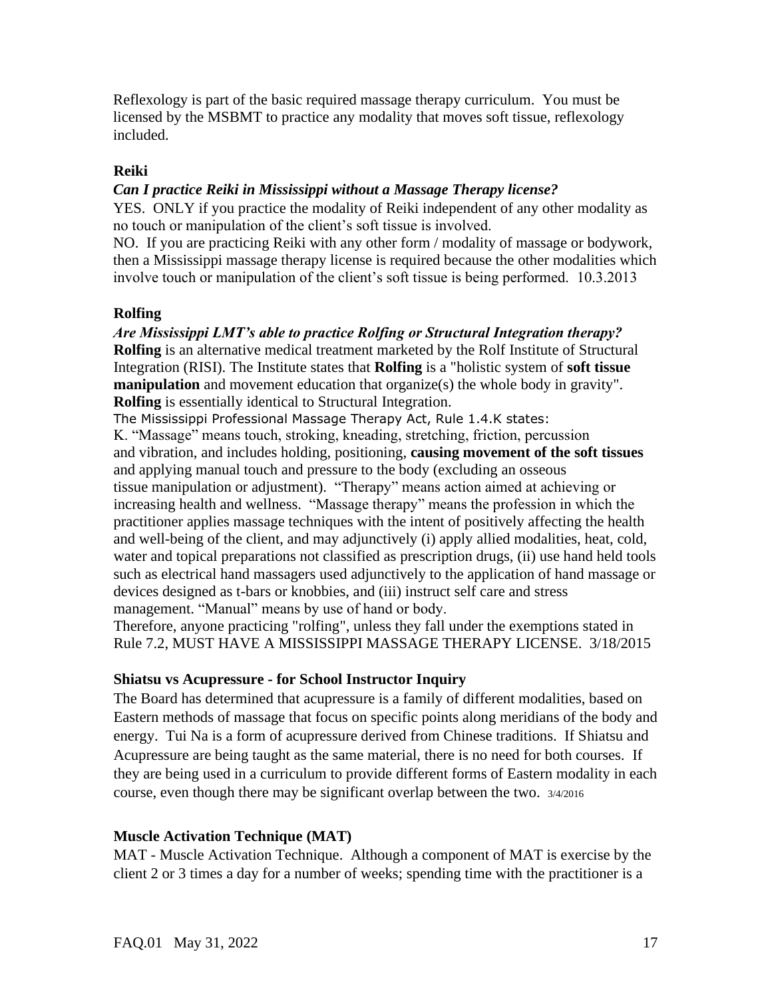Reflexology is part of the basic required massage therapy curriculum. You must be licensed by the MSBMT to practice any modality that moves soft tissue, reflexology included.

# **Reiki**

### *Can I practice Reiki in Mississippi without a Massage Therapy license?*

YES. ONLY if you practice the modality of Reiki independent of any other modality as no touch or manipulation of the client's soft tissue is involved.

NO. If you are practicing Reiki with any other form / modality of massage or bodywork, then a Mississippi massage therapy license is required because the other modalities which involve touch or manipulation of the client's soft tissue is being performed. 10.3.2013

# **Rolfing**

*Are Mississippi LMT's able to practice Rolfing or Structural Integration therapy?* **Rolfing** is an alternative medical treatment marketed by the Rolf Institute of Structural Integration (RISI). The Institute states that **Rolfing** is a "holistic system of **soft tissue manipulation** and movement education that organize(s) the whole body in gravity". **Rolfing** is essentially identical to Structural Integration.

The Mississippi Professional Massage Therapy Act, Rule 1.4.K states:

K. "Massage" means touch, stroking, kneading, stretching, friction, percussion and vibration, and includes holding, positioning, **causing movement of the soft tissues**  and applying manual touch and pressure to the body (excluding an osseous tissue manipulation or adjustment). "Therapy" means action aimed at achieving or increasing health and wellness. "Massage therapy" means the profession in which the practitioner applies massage techniques with the intent of positively affecting the health and well-being of the client, and may adjunctively (i) apply allied modalities, heat, cold, water and topical preparations not classified as prescription drugs, (ii) use hand held tools such as electrical hand massagers used adjunctively to the application of hand massage or devices designed as t-bars or knobbies, and (iii) instruct self care and stress management. "Manual" means by use of hand or body.

Therefore, anyone practicing "rolfing", unless they fall under the exemptions stated in Rule 7.2, MUST HAVE A MISSISSIPPI MASSAGE THERAPY LICENSE. 3/18/2015

# **Shiatsu vs Acupressure - for School Instructor Inquiry**

The Board has determined that acupressure is a family of different modalities, based on Eastern methods of massage that focus on specific points along meridians of the body and energy. Tui Na is a form of acupressure derived from Chinese traditions. If Shiatsu and Acupressure are being taught as the same material, there is no need for both courses. If they are being used in a curriculum to provide different forms of Eastern modality in each course, even though there may be significant overlap between the two. 3/4/2016

# **Muscle Activation Technique (MAT)**

MAT - Muscle Activation Technique. Although a component of MAT is exercise by the client 2 or 3 times a day for a number of weeks; spending time with the practitioner is a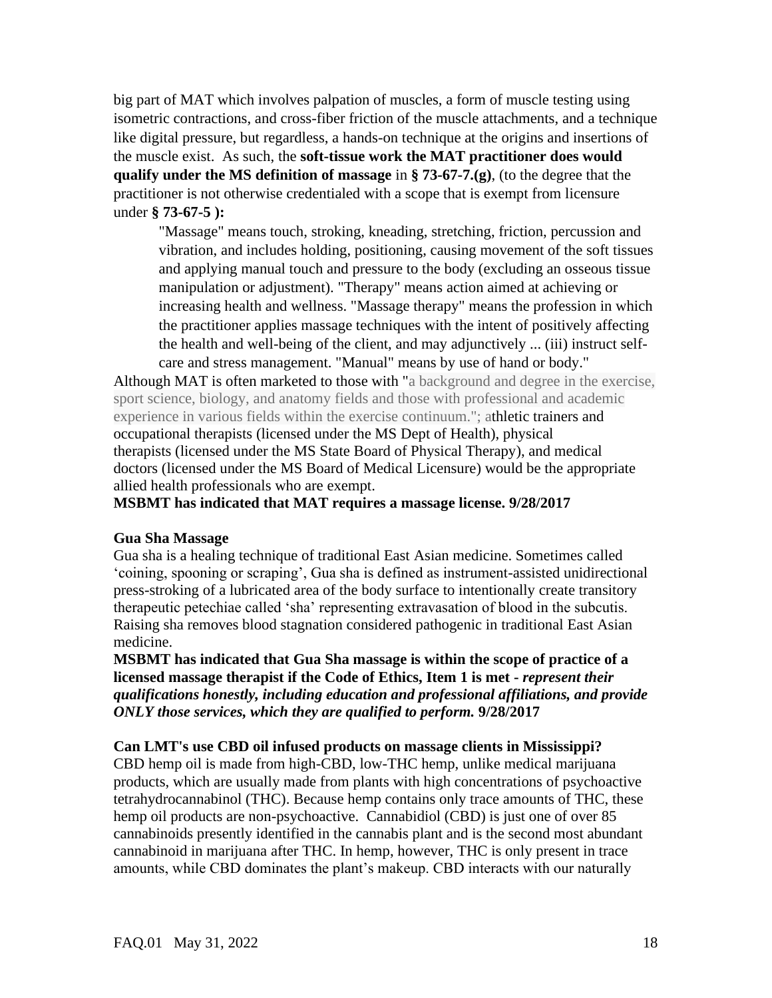big part of MAT which involves palpation of muscles, a form of muscle testing using isometric contractions, and cross-fiber friction of the muscle attachments, and a technique like digital pressure, but regardless, a hands-on technique at the origins and insertions of the muscle exist. As such, the **soft-tissue work the MAT practitioner does would qualify under the MS definition of massage** in **§ 73-67-7.(g)**, (to the degree that the practitioner is not otherwise credentialed with a scope that is exempt from licensure under **§ 73-67-5 ):**

"Massage" means touch, stroking, kneading, stretching, friction, percussion and vibration, and includes holding, positioning, causing movement of the soft tissues and applying manual touch and pressure to the body (excluding an osseous tissue manipulation or adjustment). "Therapy" means action aimed at achieving or increasing health and wellness. "Massage therapy" means the profession in which the practitioner applies massage techniques with the intent of positively affecting the health and well-being of the client, and may adjunctively ... (iii) instruct selfcare and stress management. "Manual" means by use of hand or body."

Although MAT is often marketed to those with "a background and degree in the exercise, sport science, biology, and anatomy fields and those with professional and academic experience in various fields within the exercise continuum."; athletic trainers and occupational therapists (licensed under the MS Dept of Health), physical therapists (licensed under the MS State Board of Physical Therapy), and medical doctors (licensed under the MS Board of Medical Licensure) would be the appropriate allied health professionals who are exempt.

**MSBMT has indicated that MAT requires a massage license. 9/28/2017**

#### **Gua Sha Massage**

Gua sha is a healing technique of traditional East Asian medicine. Sometimes called 'coining, spooning or scraping', Gua sha is defined as instrument-assisted unidirectional press-stroking of a lubricated area of the body surface to intentionally create transitory therapeutic petechiae called 'sha' representing extravasation of blood in the subcutis. Raising sha removes blood stagnation considered pathogenic in traditional East Asian medicine.

**MSBMT has indicated that Gua Sha massage is within the scope of practice of a licensed massage therapist if the Code of Ethics, Item 1 is met -** *represent their qualifications honestly, including education and professional affiliations, and provide ONLY those services, which they are qualified to perform.* **9/28/2017**

#### **Can LMT's use CBD oil infused products on massage clients in Mississippi?**

CBD hemp oil is made from high-CBD, low-THC hemp, unlike medical marijuana products, which are usually made from plants with high concentrations of psychoactive tetrahydrocannabinol (THC). Because hemp contains only trace amounts of THC, these hemp oil products are non-psychoactive. Cannabidiol (CBD) is just one of over 85 cannabinoids presently identified in the cannabis plant and is the second most abundant cannabinoid in marijuana after THC. In hemp, however, THC is only present in trace amounts, while CBD dominates the plant's makeup. CBD interacts with our naturally